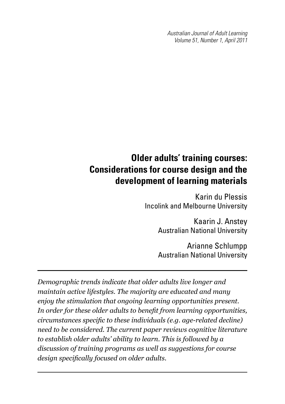*Australian Journal of Adult Learning Volume 51, Number 1, April 2011*

# **Older adults' training courses: Considerations for course design and the development of learning materials**

Karin du Plessis Incolink and Melbourne University

> Kaarin J. Anstey Australian National University

> Arianne Schlumpp Australian National University

*Demographic trends indicate that older adults live longer and maintain active lifestyles. The majority are educated and many enjoy the stimulation that ongoing learning opportunities present. In order for these older adults to benefit from learning opportunities, circumstances specific to these individuals (e.g. age-related decline) need to be considered. The current paper reviews cognitive literature to establish older adults' ability to learn. This is followed by a discussion of training programs as well as suggestions for course design specifically focused on older adults.*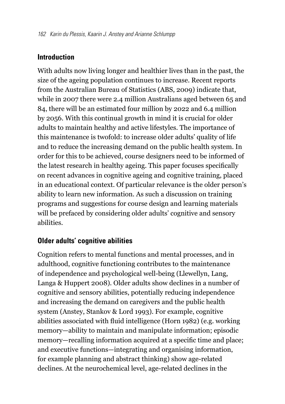## **Introduction**

With adults now living longer and healthier lives than in the past, the size of the ageing population continues to increase. Recent reports from the Australian Bureau of Statistics (ABS, 2009) indicate that, while in 2007 there were 2.4 million Australians aged between 65 and 84, there will be an estimated four million by 2022 and 6.4 million by 2056. With this continual growth in mind it is crucial for older adults to maintain healthy and active lifestyles. The importance of this maintenance is twofold: to increase older adults' quality of life and to reduce the increasing demand on the public health system. In order for this to be achieved, course designers need to be informed of the latest research in healthy ageing. This paper focuses specifically on recent advances in cognitive ageing and cognitive training, placed in an educational context. Of particular relevance is the older person's ability to learn new information. As such a discussion on training programs and suggestions for course design and learning materials will be prefaced by considering older adults' cognitive and sensory abilities.

## **Older adults' cognitive abilities**

Cognition refers to mental functions and mental processes, and in adulthood, cognitive functioning contributes to the maintenance of independence and psychological well-being (Llewellyn, Lang, Langa & Huppert 2008). Older adults show declines in a number of cognitive and sensory abilities, potentially reducing independence and increasing the demand on caregivers and the public health system (Anstey, Stankov & Lord 1993). For example, cognitive abilities associated with fluid intelligence (Horn 1982) (e.g. working memory—ability to maintain and manipulate information; episodic memory—recalling information acquired at a specific time and place; and executive functions—integrating and organising information, for example planning and abstract thinking) show age-related declines. At the neurochemical level, age-related declines in the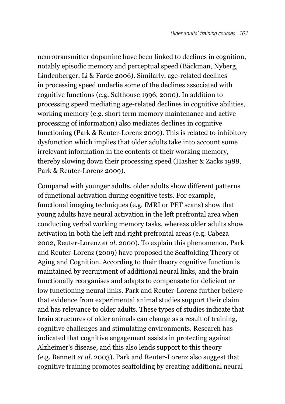neurotransmitter dopamine have been linked to declines in cognition, notably episodic memory and perceptual speed (Bäckman, Nyberg, Lindenberger, Li & Farde 2006). Similarly, age-related declines in processing speed underlie some of the declines associated with cognitive functions (e.g. Salthouse 1996, 2000). In addition to processing speed mediating age-related declines in cognitive abilities, working memory (e.g. short term memory maintenance and active processing of information) also mediates declines in cognitive functioning (Park & Reuter-Lorenz 2009). This is related to inhibitory dysfunction which implies that older adults take into account some irrelevant information in the contents of their working memory, thereby slowing down their processing speed (Hasher & Zacks 1988, Park & Reuter-Lorenz 2009).

Compared with younger adults, older adults show different patterns of functional activation during cognitive tests. For example, functional imaging techniques (e.g. fMRI or PET scans) show that young adults have neural activation in the left prefrontal area when conducting verbal working memory tasks, whereas older adults show activation in both the left and right prefrontal areas (e.g. Cabeza 2002, Reuter-Lorenz *et al.* 2000). To explain this phenomenon, Park and Reuter-Lorenz (2009) have proposed the Scaffolding Theory of Aging and Cognition. According to their theory cognitive function is maintained by recruitment of additional neural links, and the brain functionally reorganises and adapts to compensate for deficient or low functioning neural links. Park and Reuter-Lorenz further believe that evidence from experimental animal studies support their claim and has relevance to older adults. These types of studies indicate that brain structures of older animals can change as a result of training, cognitive challenges and stimulating environments. Research has indicated that cognitive engagement assists in protecting against Alzheimer's disease, and this also lends support to this theory (e.g. Bennett *et al.* 2003). Park and Reuter-Lorenz also suggest that cognitive training promotes scaffolding by creating additional neural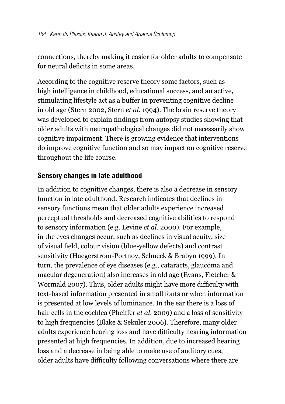connections, thereby making it easier for older adults to compensate for neural deficits in some areas.

According to the cognitive reserve theory some factors, such as high intelligence in childhood, educational success, and an active, stimulating lifestyle act as a buffer in preventing cognitive decline in old age (Stern 2002, Stern *et al.* 1994). The brain reserve theory was developed to explain findings from autopsy studies showing that older adults with neuropathological changes did not necessarily show cognitive impairment. There is growing evidence that interventions do improve cognitive function and so may impact on cognitive reserve throughout the life course.

## **Sensory changes in late adulthood**

In addition to cognitive changes, there is also a decrease in sensory function in late adulthood. Research indicates that declines in sensory functions mean that older adults experience increased perceptual thresholds and decreased cognitive abilities to respond to sensory information (e.g. Levine *et al.* 2000). For example, in the eyes changes occur, such as declines in visual acuity, size of visual field, colour vision (blue-yellow defects) and contrast sensitivity (Haegerstrom-Portnoy, Schneck & Brabyn 1999). In turn, the prevalence of eye diseases (e.g., cataracts, glaucoma and macular degeneration) also increases in old age (Evans, Fletcher & Wormald 2007). Thus, older adults might have more difficulty with text-based information presented in small fonts or when information is presented at low levels of luminance. In the ear there is a loss of hair cells in the cochlea (Pheiffer *et al.* 2009) and a loss of sensitivity to high frequencies (Blake & Sekuler 2006). Therefore, many older adults experience hearing loss and have difficulty hearing information presented at high frequencies. In addition, due to increased hearing loss and a decrease in being able to make use of auditory cues, older adults have difficulty following conversations where there are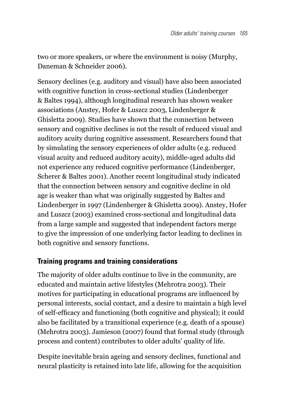two or more speakers, or where the environment is noisy (Murphy, Daneman & Schneider 2006).

Sensory declines (e.g. auditory and visual) have also been associated with cognitive function in cross-sectional studies (Lindenberger & Baltes 1994), although longitudinal research has shown weaker associations (Anstey, Hofer & Luszcz 2003, Lindenberger & Ghisletta 2009). Studies have shown that the connection between sensory and cognitive declines is not the result of reduced visual and auditory acuity during cognitive assessment. Researchers found that by simulating the sensory experiences of older adults (e.g. reduced visual acuity and reduced auditory acuity), middle-aged adults did not experience any reduced cognitive performance (Lindenberger, Scherer & Baltes 2001). Another recent longitudinal study indicated that the connection between sensory and cognitive decline in old age is weaker than what was originally suggested by Baltes and Lindenberger in 1997 (Lindenberger & Ghisletta 2009). Anstey, Hofer and Luszcz (2003) examined cross-sectional and longitudinal data from a large sample and suggested that independent factors merge to give the impression of one underlying factor leading to declines in both cognitive and sensory functions.

## **Training programs and training considerations**

The majority of older adults continue to live in the community, are educated and maintain active lifestyles (Mehrotra 2003). Their motives for participating in educational programs are influenced by personal interests, social contact, and a desire to maintain a high level of self-efficacy and functioning (both cognitive and physical); it could also be facilitated by a transitional experience (e.g. death of a spouse) (Mehrotra 2003). Jamieson (2007) found that formal study (through process and content) contributes to older adults' quality of life.

Despite inevitable brain ageing and sensory declines, functional and neural plasticity is retained into late life, allowing for the acquisition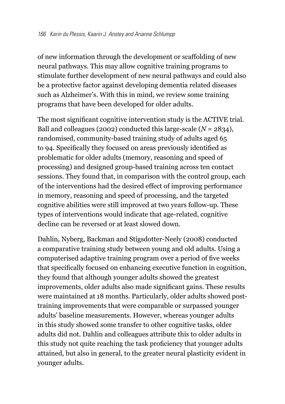of new information through the development or scaffolding of new neural pathways. This may allow cognitive training programs to stimulate further development of new neural pathways and could also be a protective factor against developing dementia related diseases such as Alzheimer's. With this in mind, we review some training programs that have been developed for older adults.

The most significant cognitive intervention study is the ACTIVE trial. Ball and colleagues (2002) conducted this large-scale (*N* = 2834), randomised, community-based training study of adults aged 65 to 94. Specifically they focused on areas previously identified as problematic for older adults (memory, reasoning and speed of processing) and designed group-based training across ten contact sessions. They found that, in comparison with the control group, each of the interventions had the desired effect of improving performance in memory, reasoning and speed of processing, and the targeted cognitive abilities were still improved at two years follow-up. These types of interventions would indicate that age-related, cognitive decline can be reversed or at least slowed down.

Dahlin, Nyberg, Backman and Stigsdotter-Neely (2008) conducted a comparative training study between young and old adults. Using a computerised adaptive training program over a period of five weeks that specifically focused on enhancing executive function in cognition, they found that although younger adults showed the greatest improvements, older adults also made significant gains. These results were maintained at 18 months. Particularly, older adults showed posttraining improvements that were comparable or surpassed younger adults' baseline measurements. However, whereas younger adults in this study showed some transfer to other cognitive tasks, older adults did not. Dahlin and colleagues attribute this to older adults in this study not quite reaching the task proficiency that younger adults attained, but also in general, to the greater neural plasticity evident in younger adults.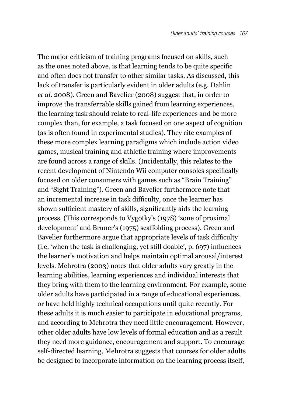The major criticism of training programs focused on skills, such as the ones noted above, is that learning tends to be quite specific and often does not transfer to other similar tasks. As discussed, this lack of transfer is particularly evident in older adults (e.g. Dahlin *et al.* 2008). Green and Bavelier (2008) suggest that, in order to improve the transferrable skills gained from learning experiences, the learning task should relate to real-life experiences and be more complex than, for example, a task focused on one aspect of cognition (as is often found in experimental studies). They cite examples of these more complex learning paradigms which include action video games, musical training and athletic training where improvements are found across a range of skills. (Incidentally, this relates to the recent development of Nintendo Wii computer consoles specifically focused on older consumers with games such as "Brain Training" and "Sight Training"). Green and Bavelier furthermore note that an incremental increase in task difficulty, once the learner has shown sufficient mastery of skills, significantly aids the learning process. (This corresponds to Vygotky's (1978) 'zone of proximal development' and Bruner's (1975) scaffolding process). Green and Bavelier furthermore argue that appropriate levels of task difficulty (i.e. 'when the task is challenging, yet still doable', p. 697) influences the learner's motivation and helps maintain optimal arousal/interest levels. Mehrotra (2003) notes that older adults vary greatly in the learning abilities, learning experiences and individual interests that they bring with them to the learning environment. For example, some older adults have participated in a range of educational experiences, or have held highly technical occupations until quite recently. For these adults it is much easier to participate in educational programs, and according to Mehrotra they need little encouragement. However, other older adults have low levels of formal education and as a result they need more guidance, encouragement and support. To encourage self-directed learning, Mehrotra suggests that courses for older adults be designed to incorporate information on the learning process itself,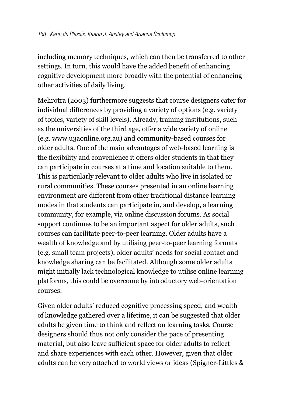including memory techniques, which can then be transferred to other settings. In turn, this would have the added benefit of enhancing cognitive development more broadly with the potential of enhancing other activities of daily living.

Mehrotra (2003) furthermore suggests that course designers cater for individual differences by providing a variety of options (e.g. variety of topics, variety of skill levels). Already, training institutions, such as the universities of the third age, offer a wide variety of online (e.g. www.u3aonline.org.au) and community-based courses for older adults. One of the main advantages of web-based learning is the flexibility and convenience it offers older students in that they can participate in courses at a time and location suitable to them. This is particularly relevant to older adults who live in isolated or rural communities. These courses presented in an online learning environment are different from other traditional distance learning modes in that students can participate in, and develop, a learning community, for example, via online discussion forums. As social support continues to be an important aspect for older adults, such courses can facilitate peer-to-peer learning. Older adults have a wealth of knowledge and by utilising peer-to-peer learning formats (e.g. small team projects), older adults' needs for social contact and knowledge sharing can be facilitated. Although some older adults might initially lack technological knowledge to utilise online learning platforms, this could be overcome by introductory web-orientation courses.

Given older adults' reduced cognitive processing speed, and wealth of knowledge gathered over a lifetime, it can be suggested that older adults be given time to think and reflect on learning tasks. Course designers should thus not only consider the pace of presenting material, but also leave sufficient space for older adults to reflect and share experiences with each other. However, given that older adults can be very attached to world views or ideas (Spigner-Littles &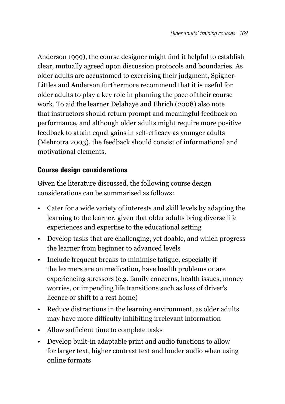Anderson 1999), the course designer might find it helpful to establish clear, mutually agreed upon discussion protocols and boundaries. As older adults are accustomed to exercising their judgment, Spigner-Littles and Anderson furthermore recommend that it is useful for older adults to play a key role in planning the pace of their course work. To aid the learner Delahaye and Ehrich (2008) also note that instructors should return prompt and meaningful feedback on performance, and although older adults might require more positive feedback to attain equal gains in self-efficacy as younger adults (Mehrotra 2003), the feedback should consist of informational and motivational elements.

# **Course design considerations**

Given the literature discussed, the following course design considerations can be summarised as follows:

- • Cater for a wide variety of interests and skill levels by adapting the learning to the learner, given that older adults bring diverse life experiences and expertise to the educational setting
- Develop tasks that are challenging, yet doable, and which progress the learner from beginner to advanced levels
- Include frequent breaks to minimise fatigue, especially if the learners are on medication, have health problems or are experiencing stressors (e.g. family concerns, health issues, money worries, or impending life transitions such as loss of driver's licence or shift to a rest home)
- Reduce distractions in the learning environment, as older adults may have more difficulty inhibiting irrelevant information
- Allow sufficient time to complete tasks
- • Develop built-in adaptable print and audio functions to allow for larger text, higher contrast text and louder audio when using online formats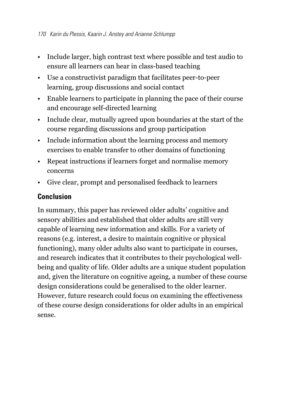- • Include larger, high contrast text where possible and test audio to ensure all learners can hear in class-based teaching
- • Use a constructivist paradigm that facilitates peer-to-peer learning, group discussions and social contact
- • Enable learners to participate in planning the pace of their course and encourage self-directed learning
- Include clear, mutually agreed upon boundaries at the start of the course regarding discussions and group participation
- Include information about the learning process and memory exercises to enable transfer to other domains of functioning
- Repeat instructions if learners forget and normalise memory concerns
- Give clear, prompt and personalised feedback to learners

# **Conclusion**

In summary, this paper has reviewed older adults' cognitive and sensory abilities and established that older adults are still very capable of learning new information and skills. For a variety of reasons (e.g. interest, a desire to maintain cognitive or physical functioning), many older adults also want to participate in courses, and research indicates that it contributes to their psychological wellbeing and quality of life. Older adults are a unique student population and, given the literature on cognitive ageing, a number of these course design considerations could be generalised to the older learner. However, future research could focus on examining the effectiveness of these course design considerations for older adults in an empirical sense.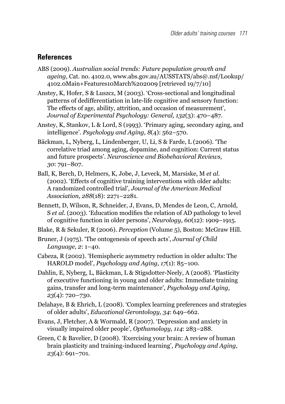#### **References**

- ABS (2009). *Australian social trends: Future population growth and ageing,* Cat. no. 4102.0, www.abs.gov.au/AUSSTATS/abs@.nsf/Lookup/ 4102.0Main+Features10March%202009 [retrieved 19/7/10]
- Anstey, K, Hofer, S & Luszcz, M (2003). 'Cross-sectional and longitudinal patterns of dedifferentiation in late-life cognitive and sensory function: The effects of age, ability, attrition, and occasion of measurement', *Journal of Experimental Psychology: General, 132*(3): 470–487.
- Anstey, K, Stankov, L & Lord, S (1993). 'Primary aging, secondary aging, and intelligence'. *Psychology and Aging, 8*(4): 562–570.
- Bäckman, L, Nyberg, L, Lindenberger, U, Li, S & Farde, L (2006). 'The correlative triad among aging, dopamine, and cognition: Current status and future prospects'. *Neuroscience and Biobehavioral Reviews, 30*: 791–807.
- Ball, K, Berch, D, Helmers, K, Jobe, J, Leveck, M, Marsiske, M *et al.* (2002). 'Effects of cognitive training interventions with older adults: A randomized controlled trial', *Journal of the American Medical Association, 288*(18): 2271–2281.
- Bennett, D, Wilson, R, Schneider, J, Evans, D, Mendes de Leon, C, Arnold, S *et al.* (2003). 'Education modifies the relation of AD pathology to level of cognitive function in older persons', *Neurology, 60*(12): 1909–1915.
- Blake, R & Sekuler, R (2006). *Perception* (Volume 5), Boston: McGraw Hill.
- Bruner, J (1975). 'The ontogenesis of speech acts', *Journal of Child Language, 2*: 1–40.
- Cabeza, R (2002). 'Hemispheric asymmetry reduction in older adults: The HAROLD model', *Psychology and Aging, 17*(1): 85–100.
- Dahlin, E, Nyberg, L, Bäckman, L & Stigsdotter-Neely, A (2008). 'Plasticity of executive functioning in young and older adults: Immediate training gains, transfer and long-term maintenance', *Psychology and Aging, 23*(4): 720–730.
- Delahaye, B & Ehrich, L (2008). 'Complex learning preferences and strategies of older adults', *Educational Gerontology, 34*: 649–662.
- Evans, J, Fletcher, A & Wormald, R (2007). 'Depression and anxiety in visually impaired older people', *Opthamology, 114*: 283–288.
- Green, C & Bavelier, D (2008). 'Exercising your brain: A review of human brain plasticity and training-induced learning', *Psychology and Aging, 23*(4): 691–701.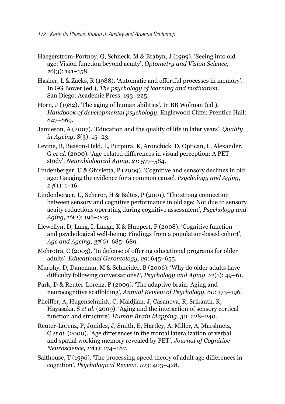- Haegerstrom-Portnoy, G, Schneck, M & Brabyn, J (1999). 'Seeing into old age: Vision function beyond acuity', *Optometry and Vision Science, 76*(3): 141–158.
- Hasher, L & Zacks, R (1988). 'Automatic and effortful processes in memory'. In GG Bower (ed.), *The psychology of learning and motivation.*  San Diego: Academic Press: 193–225.
- Horn, J (1982). 'The aging of human abilities'. In BB Wolman (ed.), *Handbook of developmental psychology,* Englewood Cliffs: Prentice Hall: 847–869.
- Jamieson, A (2007). 'Education and the quality of life in later years', *Quality in Ageing, 8*(3): 15–23.
- Levine, B, Beason-Held, L, Purpura, K, Aronchick, D, Optican, L, Alexander, G *et al.* (2000). 'Age-related differences in visual perception: A PET study', *Neurobiological Aging, 21*: 577–584.
- Lindenberger, U & Ghisletta, P (2009). 'Cognitive and sensory declines in old age: Gauging the evidence for a common cause', *Psychology and Aging, 24*(1): 1–16.
- Lindenberger, U, Scherer, H & Baltes, P (2001). 'The strong connection between sensory and cognitive performance in old age: Not due to sensory acuity reductions operating during cognitive assessment', *Psychology and Aging, 16*(2): 196–205.
- Llewellyn, D, Lang, I, Langa, K & Huppert, F (2008). 'Cognitive function and psychological well-being: Findings from a population-based cohort', *Age and Ageing, 37*(6): 685–689.
- Mehrotra, C (2003). 'In defense of offering educational programs for older adults'. *Educational Gerontology, 29*: 645–655.
- Murphy, D, Daneman, M & Schneider, B (2006). 'Why do older adults have difficulty following conversations?', *Psychology and Aging, 21*(1): 49–61.
- Park, D & Reuter-Lorenz, P (2009). 'The adaptive brain: Aging and neurocognitive scaffolding', *Annual Review of Psychology, 60*: 173–196.
- Pheiffer, A, Hugenschmidt, C, Maldjian, J, Casanova, R, Srikanth, R, Hayasaka, S *et al.* (2009). 'Aging and the interaction of sensory cortical function and structure', *Human Brain Mapping, 30*: 228–240.
- Reuter-Lorenz, P, Jonides, J, Smith, E, Hartley, A, Miller, A, Marshuetz, C *et al.* (2000). 'Age differences in the frontal lateralization of verbal and spatial working memory revealed by PET', *Journal of Cognitive Neuroscience, 12*(1): 174–187.
- Salthouse, T (1996). 'The processing-speed theory of adult age differences in cognition', *Psychological Review, 103*: 403–428.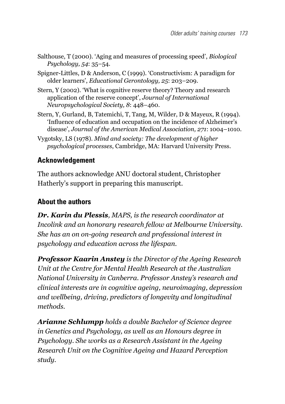- Salthouse, T (2000). 'Aging and measures of processing speed', *Biological Psychology, 54*: 35–54.
- Spigner-Littles, D & Anderson, C (1999). 'Constructivism: A paradigm for older learners', *Educational Gerontology, 25*: 203–209.
- Stern, Y (2002). 'What is cognitive reserve theory? Theory and research application of the reserve concept', *Journal of International Neuropsychological Society, 8*: 448–460.
- Stern, Y, Gurland, B, Tatemichi, T, Tang, M, Wilder, D & Mayeux, R (1994). 'Influence of education and occupation on the incidence of Alzheimer's disease', *Journal of the American Medical Association, 271*: 1004–1010.
- Vygotsky, LS (1978). *Mind and society: The development of higher psychological processes*, Cambridge, MA: Harvard University Press.

# **Acknowledgement**

The authors acknowledge ANU doctoral student, Christopher Hatherly's support in preparing this manuscript.

# **About the authors**

*Dr. Karin du Plessis, MAPS, is the research coordinator at Incolink and an honorary research fellow at Melbourne University. She has an on on-going research and professional interest in psychology and education across the lifespan.*

*Professor Kaarin Anstey is the Director of the Ageing Research Unit at the Centre for Mental Health Research at the Australian National University in Canberra. Professor Anstey's research and clinical interests are in cognitive ageing, neuroimaging, depression and wellbeing, driving, predictors of longevity and longitudinal methods.*

*Arianne Schlumpp holds a double Bachelor of Science degree in Genetics and Psychology, as well as an Honours degree in Psychology. She works as a Research Assistant in the Ageing Research Unit on the Cognitive Ageing and Hazard Perception study.*